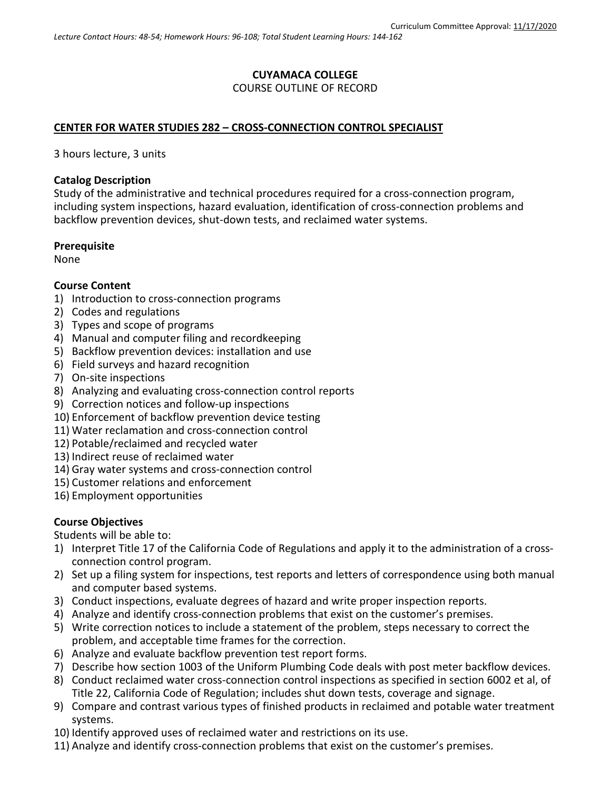# **CUYAMACA COLLEGE** COURSE OUTLINE OF RECORD

## **CENTER FOR WATER STUDIES 282 – CROSS-CONNECTION CONTROL SPECIALIST**

3 hours lecture, 3 units

### **Catalog Description**

Study of the administrative and technical procedures required for a cross-connection program, including system inspections, hazard evaluation, identification of cross-connection problems and backflow prevention devices, shut-down tests, and reclaimed water systems.

### **Prerequisite**

None

## **Course Content**

- 1) Introduction to cross-connection programs
- 2) Codes and regulations
- 3) Types and scope of programs
- 4) Manual and computer filing and recordkeeping
- 5) Backflow prevention devices: installation and use
- 6) Field surveys and hazard recognition
- 7) On-site inspections
- 8) Analyzing and evaluating cross-connection control reports
- 9) Correction notices and follow-up inspections
- 10) Enforcement of backflow prevention device testing
- 11) Water reclamation and cross-connection control
- 12) Potable/reclaimed and recycled water
- 13) Indirect reuse of reclaimed water
- 14) Gray water systems and cross-connection control
- 15) Customer relations and enforcement
- 16) Employment opportunities

## **Course Objectives**

Students will be able to:

- 1) Interpret Title 17 of the California Code of Regulations and apply it to the administration of a crossconnection control program.
- 2) Set up a filing system for inspections, test reports and letters of correspondence using both manual and computer based systems.
- 3) Conduct inspections, evaluate degrees of hazard and write proper inspection reports.
- 4) Analyze and identify cross-connection problems that exist on the customer's premises.
- 5) Write correction notices to include a statement of the problem, steps necessary to correct the problem, and acceptable time frames for the correction.
- 6) Analyze and evaluate backflow prevention test report forms.
- 7) Describe how section 1003 of the Uniform Plumbing Code deals with post meter backflow devices.
- 8) Conduct reclaimed water cross-connection control inspections as specified in section 6002 et al, of Title 22, California Code of Regulation; includes shut down tests, coverage and signage.
- 9) Compare and contrast various types of finished products in reclaimed and potable water treatment systems.
- 10) Identify approved uses of reclaimed water and restrictions on its use.
- 11) Analyze and identify cross-connection problems that exist on the customer's premises.